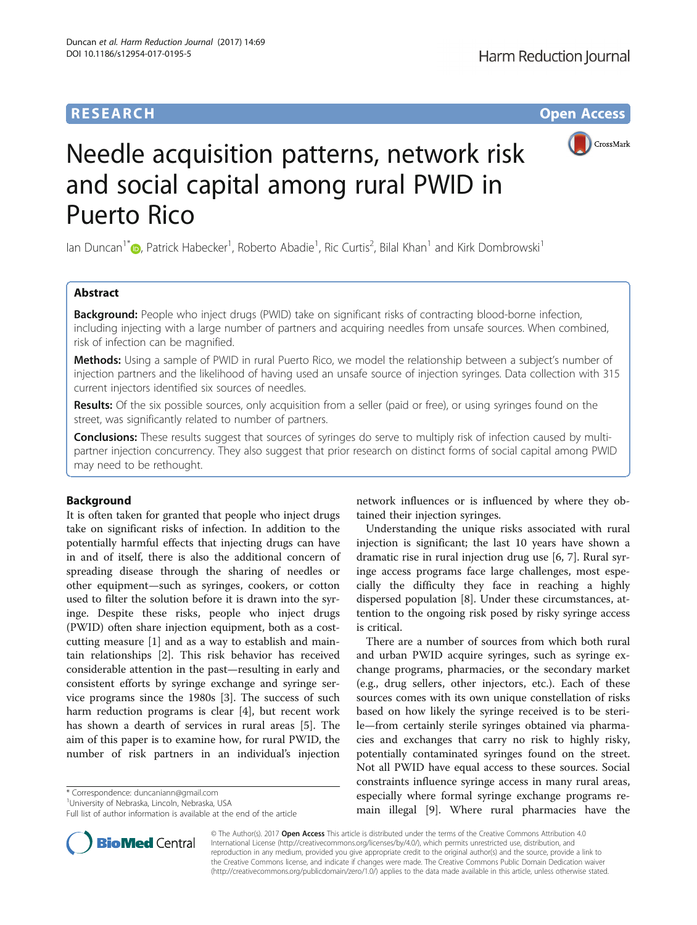## **RESEARCH CHE Open Access**



# Needle acquisition patterns, network risk and social capital among rural PWID in Puerto Rico

lan Duncan<sup>1\*</sup>®, Patrick Habecker<sup>1</sup>, Roberto Abadie<sup>1</sup>, Ric Curtis<sup>2</sup>, Bilal Khan<sup>1</sup> and Kirk Dombrowski<sup>1</sup>

## Abstract

**Background:** People who inject drugs (PWID) take on significant risks of contracting blood-borne infection, including injecting with a large number of partners and acquiring needles from unsafe sources. When combined, risk of infection can be magnified.

Methods: Using a sample of PWID in rural Puerto Rico, we model the relationship between a subject's number of injection partners and the likelihood of having used an unsafe source of injection syringes. Data collection with 315 current injectors identified six sources of needles.

Results: Of the six possible sources, only acquisition from a seller (paid or free), or using syringes found on the street, was significantly related to number of partners.

**Conclusions:** These results suggest that sources of syringes do serve to multiply risk of infection caused by multipartner injection concurrency. They also suggest that prior research on distinct forms of social capital among PWID may need to be rethought.

## Background

It is often taken for granted that people who inject drugs take on significant risks of infection. In addition to the potentially harmful effects that injecting drugs can have in and of itself, there is also the additional concern of spreading disease through the sharing of needles or other equipment—such as syringes, cookers, or cotton used to filter the solution before it is drawn into the syringe. Despite these risks, people who inject drugs (PWID) often share injection equipment, both as a costcutting measure [[1\]](#page-8-0) and as a way to establish and maintain relationships [\[2](#page-8-0)]. This risk behavior has received considerable attention in the past—resulting in early and consistent efforts by syringe exchange and syringe service programs since the 1980s [\[3](#page-8-0)]. The success of such harm reduction programs is clear [\[4](#page-8-0)], but recent work has shown a dearth of services in rural areas [[5\]](#page-8-0). The aim of this paper is to examine how, for rural PWID, the number of risk partners in an individual's injection

\* Correspondence: [duncaniann@gmail.com](mailto:duncaniann@gmail.com) <sup>1</sup>

<sup>1</sup> University of Nebraska, Lincoln, Nebraska, USA

Full list of author information is available at the end of the article

network influences or is influenced by where they obtained their injection syringes.

Understanding the unique risks associated with rural injection is significant; the last 10 years have shown a dramatic rise in rural injection drug use [\[6, 7\]](#page-8-0). Rural syringe access programs face large challenges, most especially the difficulty they face in reaching a highly dispersed population [[8\]](#page-8-0). Under these circumstances, attention to the ongoing risk posed by risky syringe access is critical.

There are a number of sources from which both rural and urban PWID acquire syringes, such as syringe exchange programs, pharmacies, or the secondary market (e.g., drug sellers, other injectors, etc.). Each of these sources comes with its own unique constellation of risks based on how likely the syringe received is to be sterile—from certainly sterile syringes obtained via pharmacies and exchanges that carry no risk to highly risky, potentially contaminated syringes found on the street. Not all PWID have equal access to these sources. Social constraints influence syringe access in many rural areas, especially where formal syringe exchange programs remain illegal [[9\]](#page-8-0). Where rural pharmacies have the



© The Author(s). 2017 **Open Access** This article is distributed under the terms of the Creative Commons Attribution 4.0 International License [\(http://creativecommons.org/licenses/by/4.0/](http://creativecommons.org/licenses/by/4.0/)), which permits unrestricted use, distribution, and reproduction in any medium, provided you give appropriate credit to the original author(s) and the source, provide a link to the Creative Commons license, and indicate if changes were made. The Creative Commons Public Domain Dedication waiver [\(http://creativecommons.org/publicdomain/zero/1.0/](http://creativecommons.org/publicdomain/zero/1.0/)) applies to the data made available in this article, unless otherwise stated.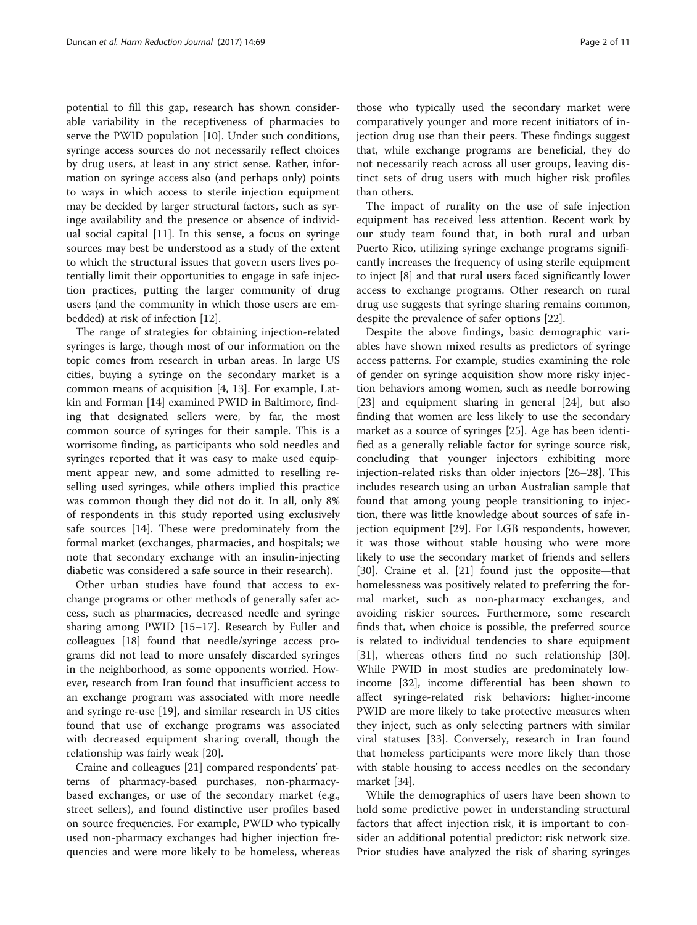potential to fill this gap, research has shown considerable variability in the receptiveness of pharmacies to serve the PWID population [\[10](#page-8-0)]. Under such conditions, syringe access sources do not necessarily reflect choices by drug users, at least in any strict sense. Rather, information on syringe access also (and perhaps only) points to ways in which access to sterile injection equipment may be decided by larger structural factors, such as syringe availability and the presence or absence of individual social capital [[11\]](#page-8-0). In this sense, a focus on syringe sources may best be understood as a study of the extent to which the structural issues that govern users lives potentially limit their opportunities to engage in safe injection practices, putting the larger community of drug users (and the community in which those users are embedded) at risk of infection [[12\]](#page-8-0).

The range of strategies for obtaining injection-related syringes is large, though most of our information on the topic comes from research in urban areas. In large US cities, buying a syringe on the secondary market is a common means of acquisition [\[4](#page-8-0), [13\]](#page-8-0). For example, Latkin and Forman [\[14](#page-8-0)] examined PWID in Baltimore, finding that designated sellers were, by far, the most common source of syringes for their sample. This is a worrisome finding, as participants who sold needles and syringes reported that it was easy to make used equipment appear new, and some admitted to reselling reselling used syringes, while others implied this practice was common though they did not do it. In all, only 8% of respondents in this study reported using exclusively safe sources [[14](#page-8-0)]. These were predominately from the formal market (exchanges, pharmacies, and hospitals; we note that secondary exchange with an insulin-injecting diabetic was considered a safe source in their research).

Other urban studies have found that access to exchange programs or other methods of generally safer access, such as pharmacies, decreased needle and syringe sharing among PWID [[15](#page-8-0)–[17\]](#page-8-0). Research by Fuller and colleagues [\[18\]](#page-8-0) found that needle/syringe access programs did not lead to more unsafely discarded syringes in the neighborhood, as some opponents worried. However, research from Iran found that insufficient access to an exchange program was associated with more needle and syringe re-use [[19](#page-9-0)], and similar research in US cities found that use of exchange programs was associated with decreased equipment sharing overall, though the relationship was fairly weak [[20\]](#page-9-0).

Craine and colleagues [\[21](#page-9-0)] compared respondents' patterns of pharmacy-based purchases, non-pharmacybased exchanges, or use of the secondary market (e.g., street sellers), and found distinctive user profiles based on source frequencies. For example, PWID who typically used non-pharmacy exchanges had higher injection frequencies and were more likely to be homeless, whereas

those who typically used the secondary market were comparatively younger and more recent initiators of injection drug use than their peers. These findings suggest that, while exchange programs are beneficial, they do not necessarily reach across all user groups, leaving distinct sets of drug users with much higher risk profiles than others.

The impact of rurality on the use of safe injection equipment has received less attention. Recent work by our study team found that, in both rural and urban Puerto Rico, utilizing syringe exchange programs significantly increases the frequency of using sterile equipment to inject [[8\]](#page-8-0) and that rural users faced significantly lower access to exchange programs. Other research on rural drug use suggests that syringe sharing remains common, despite the prevalence of safer options [\[22\]](#page-9-0).

Despite the above findings, basic demographic variables have shown mixed results as predictors of syringe access patterns. For example, studies examining the role of gender on syringe acquisition show more risky injection behaviors among women, such as needle borrowing [[23\]](#page-9-0) and equipment sharing in general [\[24\]](#page-9-0), but also finding that women are less likely to use the secondary market as a source of syringes [\[25](#page-9-0)]. Age has been identified as a generally reliable factor for syringe source risk, concluding that younger injectors exhibiting more injection-related risks than older injectors [\[26](#page-9-0)–[28\]](#page-9-0). This includes research using an urban Australian sample that found that among young people transitioning to injection, there was little knowledge about sources of safe injection equipment [\[29](#page-9-0)]. For LGB respondents, however, it was those without stable housing who were more likely to use the secondary market of friends and sellers [[30\]](#page-9-0). Craine et al. [\[21\]](#page-9-0) found just the opposite—that homelessness was positively related to preferring the formal market, such as non-pharmacy exchanges, and avoiding riskier sources. Furthermore, some research finds that, when choice is possible, the preferred source is related to individual tendencies to share equipment [[31\]](#page-9-0), whereas others find no such relationship [\[30](#page-9-0)]. While PWID in most studies are predominately lowincome [\[32\]](#page-9-0), income differential has been shown to affect syringe-related risk behaviors: higher-income PWID are more likely to take protective measures when they inject, such as only selecting partners with similar viral statuses [[33\]](#page-9-0). Conversely, research in Iran found that homeless participants were more likely than those with stable housing to access needles on the secondary market [[34](#page-9-0)].

While the demographics of users have been shown to hold some predictive power in understanding structural factors that affect injection risk, it is important to consider an additional potential predictor: risk network size. Prior studies have analyzed the risk of sharing syringes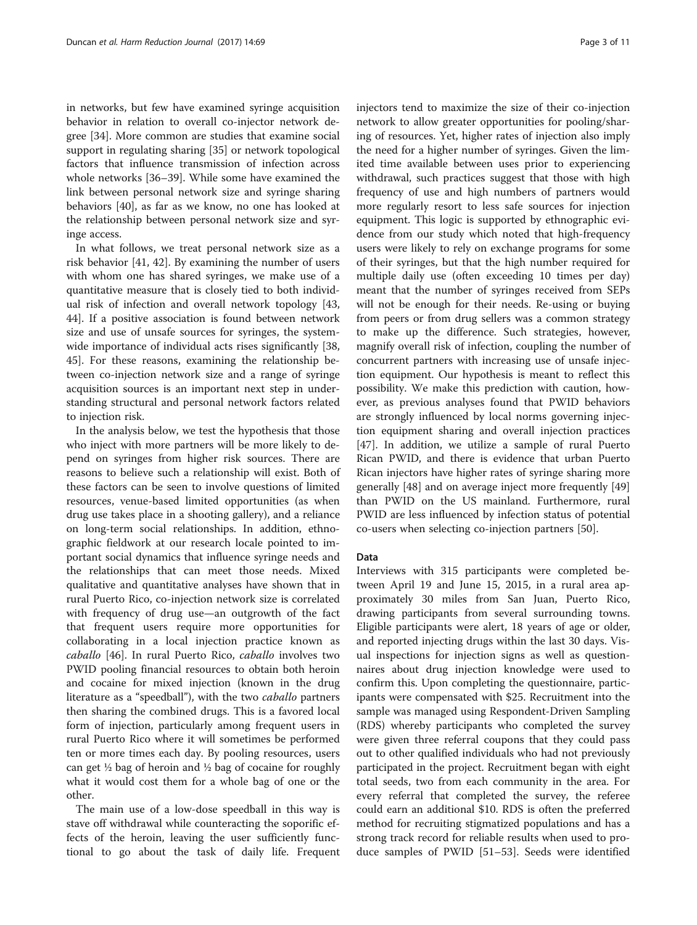in networks, but few have examined syringe acquisition behavior in relation to overall co-injector network degree [\[34](#page-9-0)]. More common are studies that examine social support in regulating sharing [[35\]](#page-9-0) or network topological factors that influence transmission of infection across whole networks [[36](#page-9-0)–[39](#page-9-0)]. While some have examined the link between personal network size and syringe sharing behaviors [\[40](#page-9-0)], as far as we know, no one has looked at the relationship between personal network size and syringe access.

In what follows, we treat personal network size as a risk behavior [[41, 42\]](#page-9-0). By examining the number of users with whom one has shared syringes, we make use of a quantitative measure that is closely tied to both individual risk of infection and overall network topology [[43](#page-9-0), [44\]](#page-9-0). If a positive association is found between network size and use of unsafe sources for syringes, the systemwide importance of individual acts rises significantly [[38](#page-9-0), [45\]](#page-9-0). For these reasons, examining the relationship between co-injection network size and a range of syringe acquisition sources is an important next step in understanding structural and personal network factors related to injection risk.

In the analysis below, we test the hypothesis that those who inject with more partners will be more likely to depend on syringes from higher risk sources. There are reasons to believe such a relationship will exist. Both of these factors can be seen to involve questions of limited resources, venue-based limited opportunities (as when drug use takes place in a shooting gallery), and a reliance on long-term social relationships. In addition, ethnographic fieldwork at our research locale pointed to important social dynamics that influence syringe needs and the relationships that can meet those needs. Mixed qualitative and quantitative analyses have shown that in rural Puerto Rico, co-injection network size is correlated with frequency of drug use—an outgrowth of the fact that frequent users require more opportunities for collaborating in a local injection practice known as caballo [\[46](#page-9-0)]. In rural Puerto Rico, caballo involves two PWID pooling financial resources to obtain both heroin and cocaine for mixed injection (known in the drug literature as a "speedball"), with the two caballo partners then sharing the combined drugs. This is a favored local form of injection, particularly among frequent users in rural Puerto Rico where it will sometimes be performed ten or more times each day. By pooling resources, users can get ½ bag of heroin and ½ bag of cocaine for roughly what it would cost them for a whole bag of one or the other.

The main use of a low-dose speedball in this way is stave off withdrawal while counteracting the soporific effects of the heroin, leaving the user sufficiently functional to go about the task of daily life. Frequent

injectors tend to maximize the size of their co-injection network to allow greater opportunities for pooling/sharing of resources. Yet, higher rates of injection also imply the need for a higher number of syringes. Given the limited time available between uses prior to experiencing withdrawal, such practices suggest that those with high frequency of use and high numbers of partners would more regularly resort to less safe sources for injection equipment. This logic is supported by ethnographic evidence from our study which noted that high-frequency users were likely to rely on exchange programs for some of their syringes, but that the high number required for multiple daily use (often exceeding 10 times per day) meant that the number of syringes received from SEPs will not be enough for their needs. Re-using or buying from peers or from drug sellers was a common strategy to make up the difference. Such strategies, however, magnify overall risk of infection, coupling the number of concurrent partners with increasing use of unsafe injection equipment. Our hypothesis is meant to reflect this possibility. We make this prediction with caution, however, as previous analyses found that PWID behaviors are strongly influenced by local norms governing injection equipment sharing and overall injection practices [[47\]](#page-9-0). In addition, we utilize a sample of rural Puerto Rican PWID, and there is evidence that urban Puerto Rican injectors have higher rates of syringe sharing more generally [\[48](#page-9-0)] and on average inject more frequently [[49](#page-9-0)] than PWID on the US mainland. Furthermore, rural PWID are less influenced by infection status of potential co-users when selecting co-injection partners [[50](#page-9-0)].

#### Data

Interviews with 315 participants were completed between April 19 and June 15, 2015, in a rural area approximately 30 miles from San Juan, Puerto Rico, drawing participants from several surrounding towns. Eligible participants were alert, 18 years of age or older, and reported injecting drugs within the last 30 days. Visual inspections for injection signs as well as questionnaires about drug injection knowledge were used to confirm this. Upon completing the questionnaire, participants were compensated with \$25. Recruitment into the sample was managed using Respondent-Driven Sampling (RDS) whereby participants who completed the survey were given three referral coupons that they could pass out to other qualified individuals who had not previously participated in the project. Recruitment began with eight total seeds, two from each community in the area. For every referral that completed the survey, the referee could earn an additional \$10. RDS is often the preferred method for recruiting stigmatized populations and has a strong track record for reliable results when used to produce samples of PWID [[51](#page-9-0)–[53](#page-9-0)]. Seeds were identified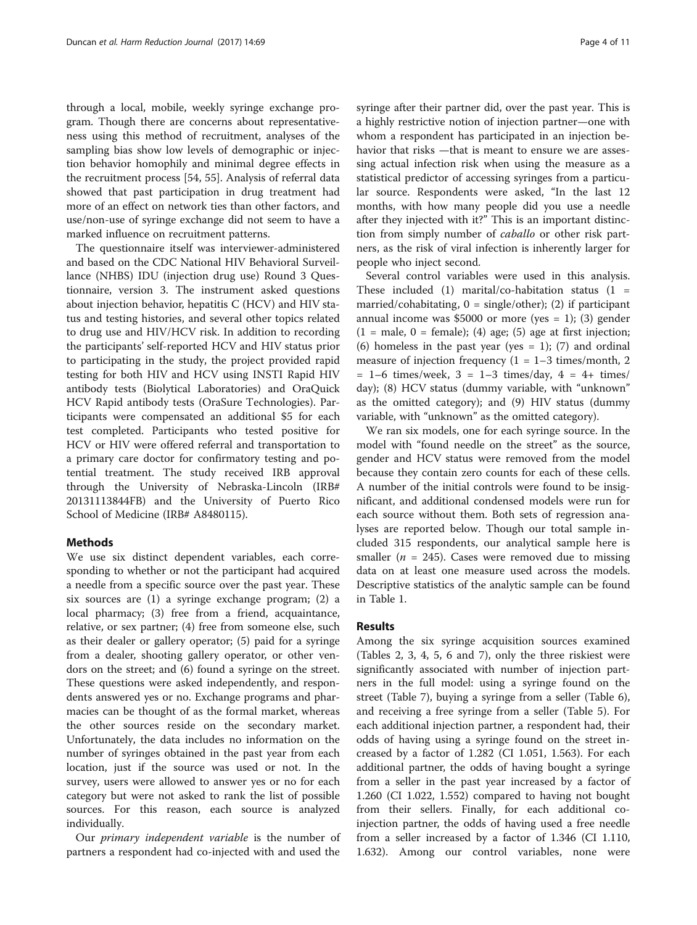through a local, mobile, weekly syringe exchange program. Though there are concerns about representativeness using this method of recruitment, analyses of the sampling bias show low levels of demographic or injection behavior homophily and minimal degree effects in the recruitment process [\[54](#page-9-0), [55\]](#page-9-0). Analysis of referral data showed that past participation in drug treatment had more of an effect on network ties than other factors, and use/non-use of syringe exchange did not seem to have a marked influence on recruitment patterns.

The questionnaire itself was interviewer-administered and based on the CDC National HIV Behavioral Surveillance (NHBS) IDU (injection drug use) Round 3 Questionnaire, version 3. The instrument asked questions about injection behavior, hepatitis C (HCV) and HIV status and testing histories, and several other topics related to drug use and HIV/HCV risk. In addition to recording the participants' self-reported HCV and HIV status prior to participating in the study, the project provided rapid testing for both HIV and HCV using INSTI Rapid HIV antibody tests (Biolytical Laboratories) and OraQuick HCV Rapid antibody tests (OraSure Technologies). Participants were compensated an additional \$5 for each test completed. Participants who tested positive for HCV or HIV were offered referral and transportation to a primary care doctor for confirmatory testing and potential treatment. The study received IRB approval through the University of Nebraska-Lincoln (IRB# 20131113844FB) and the University of Puerto Rico School of Medicine (IRB# A8480115).

#### Methods

We use six distinct dependent variables, each corresponding to whether or not the participant had acquired a needle from a specific source over the past year. These six sources are (1) a syringe exchange program; (2) a local pharmacy; (3) free from a friend, acquaintance, relative, or sex partner; (4) free from someone else, such as their dealer or gallery operator; (5) paid for a syringe from a dealer, shooting gallery operator, or other vendors on the street; and (6) found a syringe on the street. These questions were asked independently, and respondents answered yes or no. Exchange programs and pharmacies can be thought of as the formal market, whereas the other sources reside on the secondary market. Unfortunately, the data includes no information on the number of syringes obtained in the past year from each location, just if the source was used or not. In the survey, users were allowed to answer yes or no for each category but were not asked to rank the list of possible sources. For this reason, each source is analyzed individually.

Our primary independent variable is the number of partners a respondent had co-injected with and used the syringe after their partner did, over the past year. This is a highly restrictive notion of injection partner—one with whom a respondent has participated in an injection behavior that risks —that is meant to ensure we are assessing actual infection risk when using the measure as a statistical predictor of accessing syringes from a particular source. Respondents were asked, "In the last 12 months, with how many people did you use a needle after they injected with it?" This is an important distinction from simply number of caballo or other risk partners, as the risk of viral infection is inherently larger for people who inject second.

Several control variables were used in this analysis. These included (1) marital/co-habitation status (1 = married/cohabitating,  $0 = \text{single/other}$ ; (2) if participant annual income was  $$5000$  or more (yes = 1); (3) gender  $(1 = male, 0 = female); (4) age; (5) age at first injection;$ (6) homeless in the past year (yes  $= 1$ ); (7) and ordinal measure of injection frequency  $(1 = 1-3$  times/month, 2  $= 1-6$  times/week,  $3 = 1-3$  times/day,  $4 = 4+$  times/ day); (8) HCV status (dummy variable, with "unknown" as the omitted category); and (9) HIV status (dummy variable, with "unknown" as the omitted category).

We ran six models, one for each syringe source. In the model with "found needle on the street" as the source, gender and HCV status were removed from the model because they contain zero counts for each of these cells. A number of the initial controls were found to be insignificant, and additional condensed models were run for each source without them. Both sets of regression analyses are reported below. Though our total sample included 315 respondents, our analytical sample here is smaller ( $n = 245$ ). Cases were removed due to missing data on at least one measure used across the models. Descriptive statistics of the analytic sample can be found in Table [1.](#page-4-0)

#### Results

Among the six syringe acquisition sources examined (Tables [2,](#page-4-0) [3, 4,](#page-5-0) [5, 6](#page-6-0) and [7](#page-7-0)), only the three riskiest were significantly associated with number of injection partners in the full model: using a syringe found on the street (Table [7](#page-7-0)), buying a syringe from a seller (Table [6](#page-6-0)), and receiving a free syringe from a seller (Table [5\)](#page-6-0). For each additional injection partner, a respondent had, their odds of having using a syringe found on the street increased by a factor of 1.282 (CI 1.051, 1.563). For each additional partner, the odds of having bought a syringe from a seller in the past year increased by a factor of 1.260 (CI 1.022, 1.552) compared to having not bought from their sellers. Finally, for each additional coinjection partner, the odds of having used a free needle from a seller increased by a factor of 1.346 (CI 1.110, 1.632). Among our control variables, none were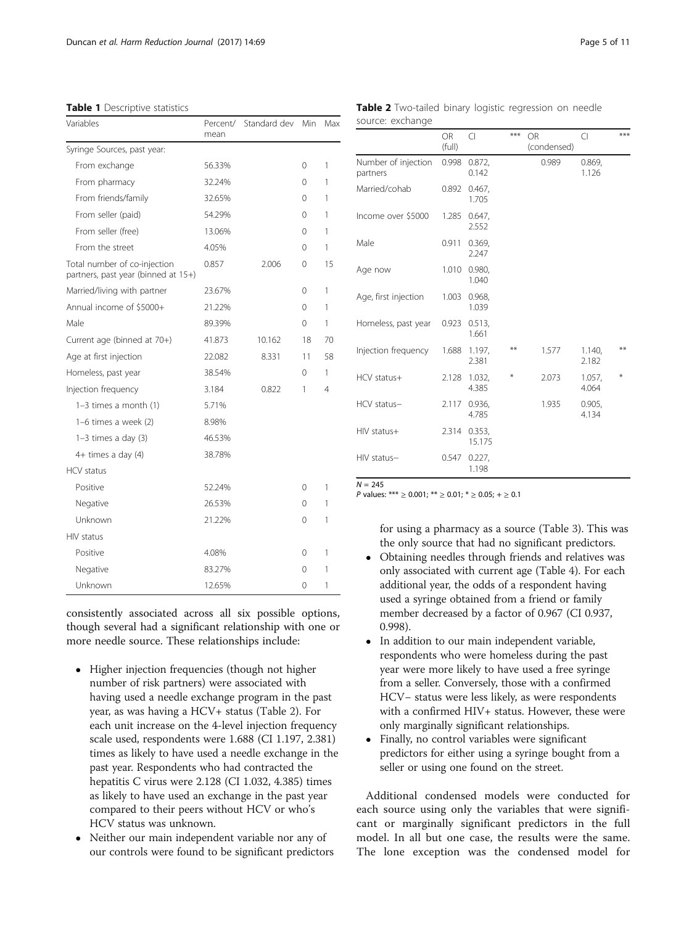#### <span id="page-4-0"></span>Table 1 Descriptive statistics

| Variables                                                           | Percent/<br>mean | Standard dev | Min      | Max |
|---------------------------------------------------------------------|------------------|--------------|----------|-----|
| Syringe Sources, past year:                                         |                  |              |          |     |
| From exchange                                                       | 56.33%           |              | 0        | 1   |
| From pharmacy                                                       | 32.24%           |              | 0        | 1   |
| From friends/family                                                 | 32.65%           |              | 0        | 1   |
| From seller (paid)                                                  | 54.29%           |              | $\Omega$ | 1   |
| From seller (free)                                                  | 13.06%           |              | 0        | 1   |
| From the street                                                     | 4.05%            |              | 0        | 1   |
| Total number of co-injection<br>partners, past year (binned at 15+) | 0.857            | 2.006        | $\Omega$ | 15  |
| Married/living with partner                                         | 23.67%           |              | 0        | 1   |
| Annual income of \$5000+                                            | 21.22%           |              | 0        | 1   |
| Male                                                                | 89.39%           |              | 0        | 1   |
| Current age (binned at 70+)                                         | 41.873           | 10.162       | 18       | 70  |
| Age at first injection                                              | 22.082           | 8.331        | 11       | 58  |
| Homeless, past year                                                 | 38.54%           |              | 0        | 1   |
| Injection frequency                                                 | 3.184            | 0.822        | 1        | 4   |
| $1-3$ times a month $(1)$                                           | 5.71%            |              |          |     |
| $1-6$ times a week $(2)$                                            | 8.98%            |              |          |     |
| $1-3$ times a day $(3)$                                             | 46.53%           |              |          |     |
| 4+ times a day (4)                                                  | 38.78%           |              |          |     |
| <b>HCV</b> status                                                   |                  |              |          |     |
| Positive                                                            | 52.24%           |              | 0        | 1   |
| Negative                                                            | 26.53%           |              | $\Omega$ | 1   |
| Unknown                                                             | 21.22%           |              | $\Omega$ | 1   |
| HIV status                                                          |                  |              |          |     |
| Positive                                                            | 4.08%            |              | 0        | 1   |
| Negative                                                            | 83.27%           |              | 0        | 1   |
| Unknown                                                             | 12.65%           |              | 0        | 1   |

consistently associated across all six possible options, though several had a significant relationship with one or more needle source. These relationships include:

- Higher injection frequencies (though not higher number of risk partners) were associated with having used a needle exchange program in the past year, as was having a HCV+ status (Table 2). For each unit increase on the 4-level injection frequency scale used, respondents were 1.688 (CI 1.197, 2.381) times as likely to have used a needle exchange in the past year. Respondents who had contracted the hepatitis C virus were 2.128 (CI 1.032, 4.385) times as likely to have used an exchange in the past year compared to their peers without HCV or who's HCV status was unknown.
- Neither our main independent variable nor any of our controls were found to be significant predictors

| <b>Table 2</b> Two-tailed binary logistic regression on needle |  |  |  |
|----------------------------------------------------------------|--|--|--|
| source: exchange                                               |  |  |  |

|                                 | OR<br>(full) | CI                    | *** | OR<br>(condensed) | $\bigcap$       | $***$ |
|---------------------------------|--------------|-----------------------|-----|-------------------|-----------------|-------|
| Number of injection<br>partners | 0.998        | 0.872,<br>0.142       |     | 0.989             | 0.869,<br>1.126 |       |
| Married/cohab                   | 0.892        | 0.467,<br>1.705       |     |                   |                 |       |
| Income over \$5000              | 1.285        | 0.647,<br>2.552       |     |                   |                 |       |
| Male                            | 0.911        | 0.369.<br>2.247       |     |                   |                 |       |
| Age now                         | 1.010        | 0.980,<br>1.040       |     |                   |                 |       |
| Age, first injection            | 1.003        | 0.968,<br>1.039       |     |                   |                 |       |
| Homeless, past year             | 0.923        | 0.513,<br>1.661       |     |                   |                 |       |
| Injection frequency             |              | 1.688 1.197,<br>2.381 | **  | 1.577             | 1.140,<br>2.182 | **    |
| HCV status+                     | 2.128        | 1.032,<br>4.385       | ⋇   | 2.073             | 1.057,<br>4.064 | ⋇     |
| HCV status-                     | 2.117        | 0.936,<br>4.785       |     | 1.935             | 0.905.<br>4.134 |       |
| HIV status+                     | 2.314        | 0.353,<br>15.175      |     |                   |                 |       |
| HIV status-                     | 0.547        | 0.227<br>1.198        |     |                   |                 |       |

 $N = 245$ 

P values: \*\*\*  $\geq 0.001$ ; \*\*  $\geq 0.01$ ; \*  $\geq 0.05$ ; +  $\geq 0.1$ 

for using a pharmacy as a source (Table [3\)](#page-5-0). This was the only source that had no significant predictors.

- Obtaining needles through friends and relatives was only associated with current age (Table [4](#page-5-0)). For each additional year, the odds of a respondent having used a syringe obtained from a friend or family member decreased by a factor of 0.967 (CI 0.937, 0.998).
- In addition to our main independent variable, respondents who were homeless during the past year were more likely to have used a free syringe from a seller. Conversely, those with a confirmed HCV− status were less likely, as were respondents with a confirmed HIV+ status. However, these were only marginally significant relationships.
- Finally, no control variables were significant predictors for either using a syringe bought from a seller or using one found on the street.

Additional condensed models were conducted for each source using only the variables that were significant or marginally significant predictors in the full model. In all but one case, the results were the same. The lone exception was the condensed model for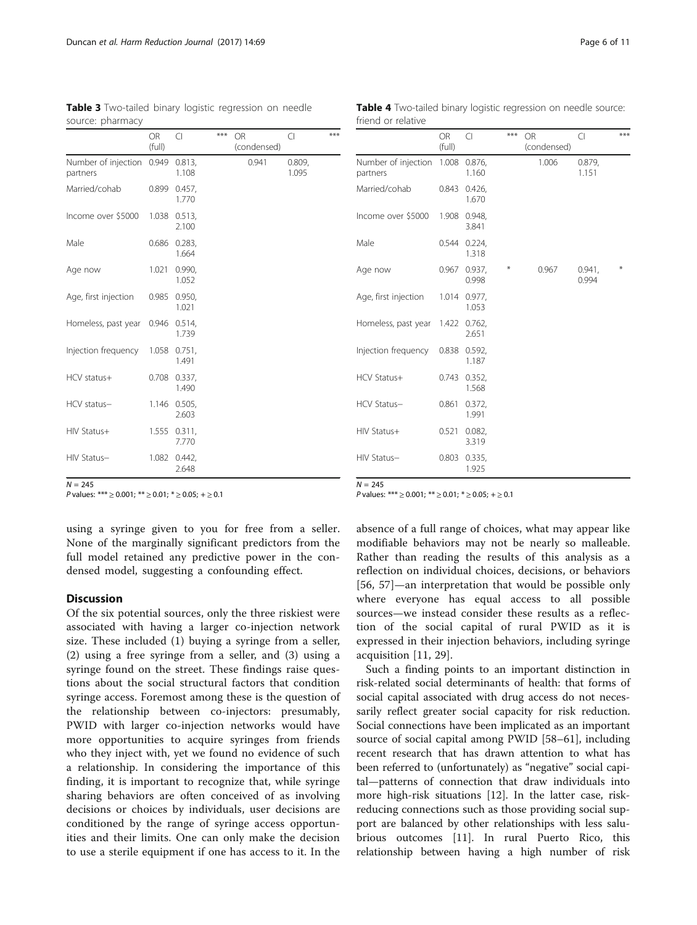using a syringe given to you for free from a seller. None of the marginally significant predictors from the full model retained any predictive power in the condensed model, suggesting a confounding effect.

## **Discussion**

 $N = 245$ 

Of the six potential sources, only the three riskiest were associated with having a larger co-injection network size. These included (1) buying a syringe from a seller, (2) using a free syringe from a seller, and (3) using a syringe found on the street. These findings raise questions about the social structural factors that condition syringe access. Foremost among these is the question of the relationship between co-injectors: presumably, PWID with larger co-injection networks would have more opportunities to acquire syringes from friends who they inject with, yet we found no evidence of such a relationship. In considering the importance of this finding, it is important to recognize that, while syringe sharing behaviors are often conceived of as involving decisions or choices by individuals, user decisions are conditioned by the range of syringe access opportunities and their limits. One can only make the decision to use a sterile equipment if one has access to it. In the  $N = 245$ P values: \*\*\* ≥ 0.001; \*\* ≥ 0.01; \* ≥ 0.05; + ≥ 0.1

absence of a full range of choices, what may appear like modifiable behaviors may not be nearly so malleable. Rather than reading the results of this analysis as a reflection on individual choices, decisions, or behaviors [[56, 57\]](#page-9-0)—an interpretation that would be possible only where everyone has equal access to all possible sources—we instead consider these results as a reflection of the social capital of rural PWID as it is expressed in their injection behaviors, including syringe acquisition [\[11](#page-8-0), [29\]](#page-9-0).

Such a finding points to an important distinction in risk-related social determinants of health: that forms of social capital associated with drug access do not necessarily reflect greater social capacity for risk reduction. Social connections have been implicated as an important source of social capital among PWID [\[58](#page-9-0)–[61\]](#page-10-0), including recent research that has drawn attention to what has been referred to (unfortunately) as "negative" social capital—patterns of connection that draw individuals into more high-risk situations [\[12](#page-8-0)]. In the latter case, riskreducing connections such as those providing social support are balanced by other relationships with less salubrious outcomes [\[11\]](#page-8-0). In rural Puerto Rico, this relationship between having a high number of risk

| <b>Table 3</b> Two-tailed binary logistic regression on needle |  |  |  |
|----------------------------------------------------------------|--|--|--|
| source: pharmacy                                               |  |  |  |

CI \*\*\* OR

(condensed)

0.941 0.809, 1.095

CI \*\*\*

|                                 | OR<br>(full) | $\bigcap$          | *** | <b>OR</b><br>(condensed) | $\subset$       | *** |
|---------------------------------|--------------|--------------------|-----|--------------------------|-----------------|-----|
| Number of injection<br>partners | 1.008        | 0.876<br>1.160     |     | 1.006                    | 0.879.<br>1.151 |     |
| Married/cohab                   | 0.843        | 0.426<br>1.670     |     |                          |                 |     |
| Income over \$5000              | 1.908        | 0.948,<br>3.841    |     |                          |                 |     |
| Male                            | 0.544        | 0.224<br>1.318     |     |                          |                 |     |
| Age now                         | 0.967        | 0.937,<br>0.998    | ⋇   | 0.967                    | 0.941,<br>0.994 | ⋇   |
| Age, first injection            | 1.014        | $0.977$ ,<br>1.053 |     |                          |                 |     |
| Homeless, past year             | 1.422        | 0.762<br>2.651     |     |                          |                 |     |
| Injection frequency             | 0.838        | 0.592,<br>1.187    |     |                          |                 |     |
| HCV Status+                     | 0.743        | 0.352<br>1.568     |     |                          |                 |     |
| HCV Status-                     | 0.861        | 0.372<br>1.991     |     |                          |                 |     |
| HIV Status+                     | 0.521        | 0.082,<br>3.319    |     |                          |                 |     |
| HIV Status-                     | 0.803        | 0.335,<br>1.925    |     |                          |                 |     |

<span id="page-5-0"></span>Table 3 Two-tailed binary logistic regression on needle

|  | <b>Table 4</b> Two-tailed binary logistic regression on needle source: |  |  |  |
|--|------------------------------------------------------------------------|--|--|--|
|  | friend or relative                                                     |  |  |  |

OR (full)

0.949 0.813, 1.108

1.770

2.100

1.664

1.052

1.021

1.739

1.491

1.490

2.603

7.770

2.648

Number of injection

Married/cohab 0.899 0.457

Income over \$5000 1.038 0.513,

Male 0.686 0.283

Age now 1.021 0.990,

Age, first injection 0.985 0.950

Homeless, past year 0.946 0.514,

Injection frequency 1.058 0.751,

HCV status+ 0.708 0.337,

HCV status− 1.146 0.505,

HIV Status+ 1.555 0.311,

HIV Status− 1.082 0.442,

P values: \*\*\* ≥ 0.001; \*\* ≥ 0.01; \* ≥ 0.05; + ≥ 0.1

partners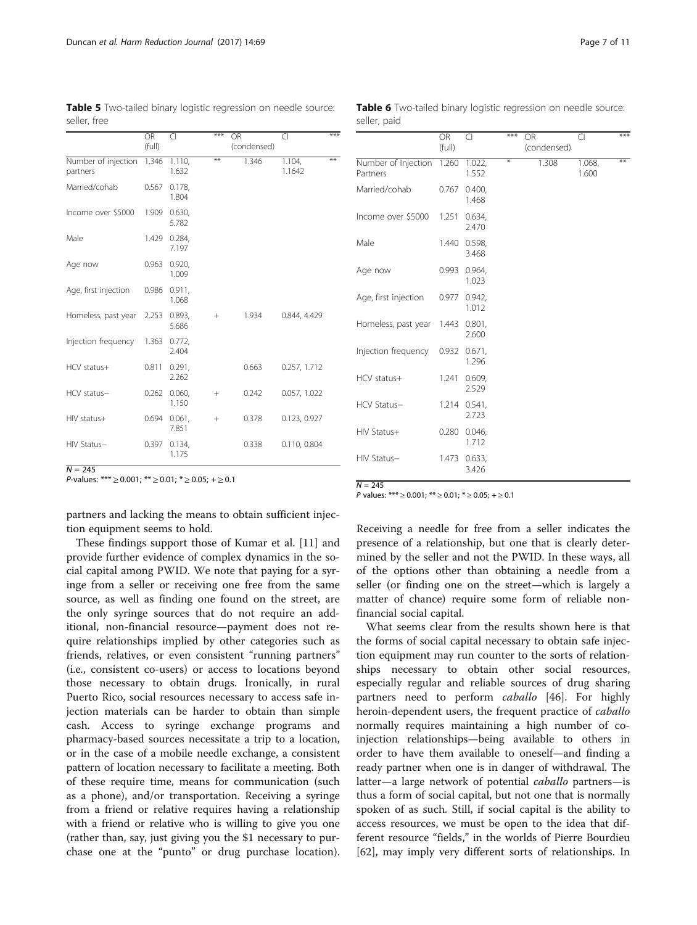$N = 245$ P-values: \*\*\*  $\geq$  0.001; \*\*  $\geq$  0.01; \*  $\geq$  0.05; +  $\geq$  0.1

partners and lacking the means to obtain sufficient injection equipment seems to hold.

These findings support those of Kumar et al. [[11\]](#page-8-0) and provide further evidence of complex dynamics in the social capital among PWID. We note that paying for a syringe from a seller or receiving one free from the same source, as well as finding one found on the street, are the only syringe sources that do not require an additional, non-financial resource—payment does not require relationships implied by other categories such as friends, relatives, or even consistent "running partners" (i.e., consistent co-users) or access to locations beyond those necessary to obtain drugs. Ironically, in rural Puerto Rico, social resources necessary to access safe injection materials can be harder to obtain than simple cash. Access to syringe exchange programs and pharmacy-based sources necessitate a trip to a location, or in the case of a mobile needle exchange, a consistent pattern of location necessary to facilitate a meeting. Both of these require time, means for communication (such as a phone), and/or transportation. Receiving a syringe from a friend or relative requires having a relationship with a friend or relative who is willing to give you one (rather than, say, just giving you the \$1 necessary to purchase one at the "punto" or drug purchase location).

 $N = 245$ 

P values: \*\*\* ≥ 0.001; \*\* ≥ 0.01; \* ≥ 0.05; + ≥ 0.1

Receiving a needle for free from a seller indicates the presence of a relationship, but one that is clearly determined by the seller and not the PWID. In these ways, all of the options other than obtaining a needle from a seller (or finding one on the street—which is largely a matter of chance) require some form of reliable nonfinancial social capital.

What seems clear from the results shown here is that the forms of social capital necessary to obtain safe injection equipment may run counter to the sorts of relationships necessary to obtain other social resources, especially regular and reliable sources of drug sharing partners need to perform *caballo* [[46](#page-9-0)]. For highly heroin-dependent users, the frequent practice of *caballo* normally requires maintaining a high number of coinjection relationships—being available to others in order to have them available to oneself—and finding a ready partner when one is in danger of withdrawal. The latter—a large network of potential caballo partners—is thus a form of social capital, but not one that is normally spoken of as such. Still, if social capital is the ability to access resources, we must be open to the idea that different resource "fields," in the worlds of Pierre Bourdieu [[62\]](#page-10-0), may imply very different sorts of relationships. In

seller, free CI \*\*\* OR

(condensed)

 $\frac{1.346}{1.104}$ 1.1642

1.934 0.844, 4.429

0.663 0.257, 1.712

0.057, 1.022

0.378 0.123, 0.927

0.338 0.110, 0.804

| $\overline{\Box}$ | ***   |                                 | OR<br>(full) | $\bigcap$             | $***$ | <b>OR</b><br>(condensed) | $\overline{C}$  | ***  |
|-------------------|-------|---------------------------------|--------------|-----------------------|-------|--------------------------|-----------------|------|
| 1.104,<br>1.1642  | $***$ | Number of Injection<br>Partners | 1.260        | 1.022,<br>1.552       | ⋇     | 1.308                    | 1.068,<br>1.600 | $**$ |
|                   |       | Married/cohab                   | 0.767        | 0.400,<br>1.468       |       |                          |                 |      |
|                   |       | Income over \$5000              | 1.251        | 0.634,<br>2.470       |       |                          |                 |      |
|                   |       | Male                            |              | 1.440 0.598,<br>3.468 |       |                          |                 |      |
|                   |       | Age now                         |              | 0.993 0.964,<br>1.023 |       |                          |                 |      |
|                   |       | Age, first injection            |              | 0.977 0.942,<br>1.012 |       |                          |                 |      |
| 0.844, 4.429      |       | Homeless, past year             |              | 1.443 0.801,<br>2.600 |       |                          |                 |      |
| 0.257, 1.712      |       | Injection frequency             |              | 0.932 0.671,<br>1.296 |       |                          |                 |      |
| 0.057, 1.022      |       | HCV status+                     | 1.241        | 0.609.<br>2.529       |       |                          |                 |      |
| 0.123, 0.927      |       | HCV Status-                     |              | 1.214 0.541,<br>2.723 |       |                          |                 |      |
| 0.110, 0.804      |       | HIV Status+                     |              | 0.280 0.046,<br>1.712 |       |                          |                 |      |
|                   |       | HIV Status-                     | 1.473        | 0.633,<br>3.426       |       |                          |                 |      |

<span id="page-6-0"></span>Table 5 Two-tailed binary logistic regression on needle source:

Table 6 Two-tailed binary logistic regression on needle source: seller, paid

OR (full)

1.346 1.110 1.632

1.804

5.782

7.197

1.009

1.068

5.686

2.404

2.262

1.150

7.851

1.175

Number of injection

Married/cohab 0.567 0.178

Income over \$5000 1.909 0.630,

Male 1.429 0.284

Age now 0.963 0.920,

Age, first injection 0.986 0.911,

Homeless, past year 2.253 0.893

Injection frequency 1.363 0.772,

HCV status+ 0.811 0.291,

HCV status− 0.262 0.060,

HIV status+ 0.694 0.061,

HIV Status− 0.397 0.134,

partners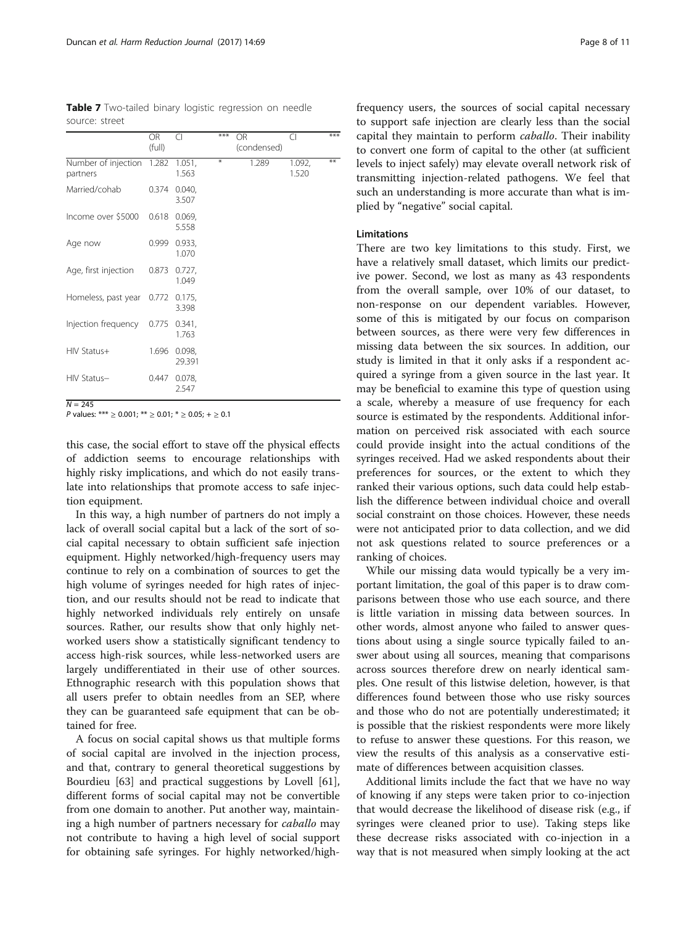<span id="page-7-0"></span>

| <b>Table 7</b> Two-tailed binary logistic regression on needle |  |  |  |
|----------------------------------------------------------------|--|--|--|
| source: street                                                 |  |  |  |

|                                 | <b>OR</b><br>(full) | CI.              | $***$ | OR<br>(condensed) | CI              | *** |
|---------------------------------|---------------------|------------------|-------|-------------------|-----------------|-----|
| Number of injection<br>partners | 1.282               | 1.051,<br>1.563  | $*$   | 1.289             | 1.092,<br>1.520 | **  |
| Married/cohab                   | 0.374               | 0.040,<br>3.507  |       |                   |                 |     |
| Income over \$5000              | 0.618               | 0.069.<br>5.558  |       |                   |                 |     |
| Age now                         | 0.999               | 0.933,<br>1.070  |       |                   |                 |     |
| Age, first injection            | 0.873               | 0.727,<br>1.049  |       |                   |                 |     |
| Homeless, past year             | 0.772               | 0.175,<br>3.398  |       |                   |                 |     |
| Injection frequency             | 0.775               | 0.341,<br>1.763  |       |                   |                 |     |
| HIV Status+                     | 1.696               | 0.098,<br>29.391 |       |                   |                 |     |
| HIV Status-                     | 0.447               | 0.078,<br>2.547  |       |                   |                 |     |
| $N = 245$                       |                     |                  |       |                   |                 |     |

P values: \*\*\*  $\geq 0.001$ ; \*\*  $\geq 0.01$ ; \*  $\geq 0.05$ ; +  $\geq 0.1$ 

this case, the social effort to stave off the physical effects of addiction seems to encourage relationships with highly risky implications, and which do not easily translate into relationships that promote access to safe injection equipment.

In this way, a high number of partners do not imply a lack of overall social capital but a lack of the sort of social capital necessary to obtain sufficient safe injection equipment. Highly networked/high-frequency users may continue to rely on a combination of sources to get the high volume of syringes needed for high rates of injection, and our results should not be read to indicate that highly networked individuals rely entirely on unsafe sources. Rather, our results show that only highly networked users show a statistically significant tendency to access high-risk sources, while less-networked users are largely undifferentiated in their use of other sources. Ethnographic research with this population shows that all users prefer to obtain needles from an SEP, where they can be guaranteed safe equipment that can be obtained for free.

A focus on social capital shows us that multiple forms of social capital are involved in the injection process, and that, contrary to general theoretical suggestions by Bourdieu [[63\]](#page-10-0) and practical suggestions by Lovell [\[61](#page-10-0)], different forms of social capital may not be convertible from one domain to another. Put another way, maintaining a high number of partners necessary for caballo may not contribute to having a high level of social support for obtaining safe syringes. For highly networked/highfrequency users, the sources of social capital necessary to support safe injection are clearly less than the social capital they maintain to perform caballo. Their inability to convert one form of capital to the other (at sufficient levels to inject safely) may elevate overall network risk of transmitting injection-related pathogens. We feel that such an understanding is more accurate than what is im-

#### Limitations

plied by "negative" social capital.

There are two key limitations to this study. First, we have a relatively small dataset, which limits our predictive power. Second, we lost as many as 43 respondents from the overall sample, over 10% of our dataset, to non-response on our dependent variables. However, some of this is mitigated by our focus on comparison between sources, as there were very few differences in missing data between the six sources. In addition, our study is limited in that it only asks if a respondent acquired a syringe from a given source in the last year. It may be beneficial to examine this type of question using a scale, whereby a measure of use frequency for each source is estimated by the respondents. Additional information on perceived risk associated with each source could provide insight into the actual conditions of the syringes received. Had we asked respondents about their preferences for sources, or the extent to which they ranked their various options, such data could help establish the difference between individual choice and overall social constraint on those choices. However, these needs were not anticipated prior to data collection, and we did not ask questions related to source preferences or a ranking of choices.

While our missing data would typically be a very important limitation, the goal of this paper is to draw comparisons between those who use each source, and there is little variation in missing data between sources. In other words, almost anyone who failed to answer questions about using a single source typically failed to answer about using all sources, meaning that comparisons across sources therefore drew on nearly identical samples. One result of this listwise deletion, however, is that differences found between those who use risky sources and those who do not are potentially underestimated; it is possible that the riskiest respondents were more likely to refuse to answer these questions. For this reason, we view the results of this analysis as a conservative estimate of differences between acquisition classes.

Additional limits include the fact that we have no way of knowing if any steps were taken prior to co-injection that would decrease the likelihood of disease risk (e.g., if syringes were cleaned prior to use). Taking steps like these decrease risks associated with co-injection in a way that is not measured when simply looking at the act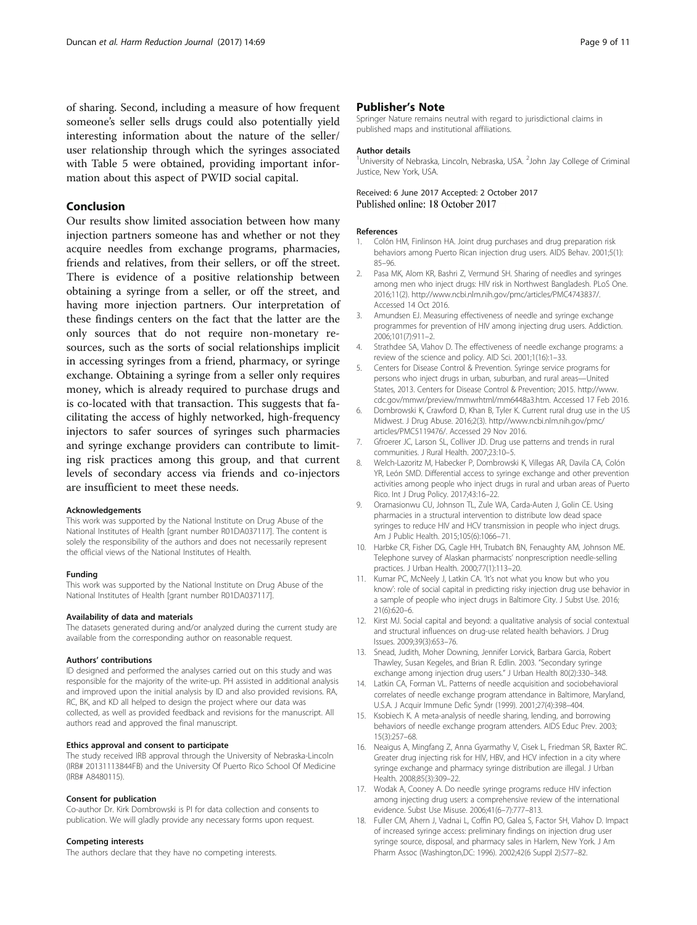<span id="page-8-0"></span>of sharing. Second, including a measure of how frequent someone's seller sells drugs could also potentially yield interesting information about the nature of the seller/ user relationship through which the syringes associated with Table [5](#page-6-0) were obtained, providing important information about this aspect of PWID social capital.

#### Conclusion

Our results show limited association between how many injection partners someone has and whether or not they acquire needles from exchange programs, pharmacies, friends and relatives, from their sellers, or off the street. There is evidence of a positive relationship between obtaining a syringe from a seller, or off the street, and having more injection partners. Our interpretation of these findings centers on the fact that the latter are the only sources that do not require non-monetary resources, such as the sorts of social relationships implicit in accessing syringes from a friend, pharmacy, or syringe exchange. Obtaining a syringe from a seller only requires money, which is already required to purchase drugs and is co-located with that transaction. This suggests that facilitating the access of highly networked, high-frequency injectors to safer sources of syringes such pharmacies and syringe exchange providers can contribute to limiting risk practices among this group, and that current levels of secondary access via friends and co-injectors are insufficient to meet these needs.

#### Acknowledgements

This work was supported by the National Institute on Drug Abuse of the National Institutes of Health [grant number R01DA037117]. The content is solely the responsibility of the authors and does not necessarily represent the official views of the National Institutes of Health.

#### Funding

This work was supported by the National Institute on Drug Abuse of the National Institutes of Health [grant number R01DA037117].

#### Availability of data and materials

The datasets generated during and/or analyzed during the current study are available from the corresponding author on reasonable request.

#### Authors' contributions

ID designed and performed the analyses carried out on this study and was responsible for the majority of the write-up. PH assisted in additional analysis and improved upon the initial analysis by ID and also provided revisions. RA, RC, BK, and KD all helped to design the project where our data was collected, as well as provided feedback and revisions for the manuscript. All authors read and approved the final manuscript.

#### Ethics approval and consent to participate

The study received IRB approval through the University of Nebraska-Lincoln (IRB# 20131113844FB) and the University Of Puerto Rico School Of Medicine (IRB# A8480115).

#### Consent for publication

Co-author Dr. Kirk Dombrowski is PI for data collection and consents to publication. We will gladly provide any necessary forms upon request.

#### Competing interests

The authors declare that they have no competing interests.

#### Publisher's Note

Springer Nature remains neutral with regard to jurisdictional claims in published maps and institutional affiliations.

#### Author details

<sup>1</sup> University of Nebraska, Lincoln, Nebraska, USA. <sup>2</sup> John Jay College of Criminal Justice, New York, USA.

## Received: 6 June 2017 Accepted: 2 October 2017<br>Published online: 18 October 2017

#### References

- 1. Colón HM, Finlinson HA. Joint drug purchases and drug preparation risk behaviors among Puerto Rican injection drug users. AIDS Behav. 2001;5(1): 85–96.
- 2. Pasa MK, Alom KR, Bashri Z, Vermund SH. Sharing of needles and syringes among men who inject drugs: HIV risk in Northwest Bangladesh. PLoS One. 2016;11(2).<http://www.ncbi.nlm.nih.gov/pmc/articles/PMC4743837/>. Accessed 14 Oct 2016.
- 3. Amundsen EJ. Measuring effectiveness of needle and syringe exchange programmes for prevention of HIV among injecting drug users. Addiction. 2006;101(7):911–2.
- 4. Strathdee SA, Vlahov D. The effectiveness of needle exchange programs: a review of the science and policy. AID Sci. 2001;1(16):1–33.
- 5. Centers for Disease Control & Prevention. Syringe service programs for persons who inject drugs in urban, suburban, and rural areas—United States, 2013. Centers for Disease Control & Prevention; 2015. [http://www.](http://www.cdc.gov/mmwr/preview/mmwrhtml/mm6448a3.htm) [cdc.gov/mmwr/preview/mmwrhtml/mm6448a3.htm.](http://www.cdc.gov/mmwr/preview/mmwrhtml/mm6448a3.htm) Accessed 17 Feb 2016.
- 6. Dombrowski K, Crawford D, Khan B, Tyler K. Current rural drug use in the US Midwest. J Drug Abuse. 2016;2(3). [http://www.ncbi.nlm.nih.gov/pmc/](http://www.ncbi.nlm.nih.gov/pmc/articles/PMC5119476/) [articles/PMC5119476/](http://www.ncbi.nlm.nih.gov/pmc/articles/PMC5119476/). Accessed 29 Nov 2016.
- 7. Gfroerer JC, Larson SL, Colliver JD. Drug use patterns and trends in rural communities. J Rural Health. 2007;23:10–5.
- 8. Welch-Lazoritz M, Habecker P, Dombrowski K, Villegas AR, Davila CA, Colón YR, León SMD. Differential access to syringe exchange and other prevention activities among people who inject drugs in rural and urban areas of Puerto Rico. Int J Drug Policy. 2017;43:16–22.
- 9. Oramasionwu CU, Johnson TL, Zule WA, Carda-Auten J, Golin CE. Using pharmacies in a structural intervention to distribute low dead space syringes to reduce HIV and HCV transmission in people who inject drugs. Am J Public Health. 2015;105(6):1066–71.
- 10. Harbke CR, Fisher DG, Cagle HH, Trubatch BN, Fenaughty AM, Johnson ME. Telephone survey of Alaskan pharmacists' nonprescription needle-selling practices. J Urban Health. 2000;77(1):113–20.
- 11. Kumar PC, McNeely J, Latkin CA. 'It's not what you know but who you know': role of social capital in predicting risky injection drug use behavior in a sample of people who inject drugs in Baltimore City. J Subst Use. 2016; 21(6):620–6.
- 12. Kirst MJ. Social capital and beyond: a qualitative analysis of social contextual and structural influences on drug-use related health behaviors. J Drug Issues. 2009;39(3):653–76.
- 13. Snead, Judith, Moher Downing, Jennifer Lorvick, Barbara Garcia, Robert Thawley, Susan Kegeles, and Brian R. Edlin. 2003. "Secondary syringe exchange among injection drug users." J Urban Health 80(2):330–348.
- 14. Latkin CA, Forman VL. Patterns of needle acquisition and sociobehavioral correlates of needle exchange program attendance in Baltimore, Maryland, U.S.A. J Acquir Immune Defic Syndr (1999). 2001;27(4):398–404.
- 15. Ksobiech K. A meta-analysis of needle sharing, lending, and borrowing behaviors of needle exchange program attenders. AIDS Educ Prev. 2003; 15(3):257–68.
- 16. Neaigus A, Mingfang Z, Anna Gyarmathy V, Cisek L, Friedman SR, Baxter RC. Greater drug injecting risk for HIV, HBV, and HCV infection in a city where syringe exchange and pharmacy syringe distribution are illegal. J Urban Health. 2008;85(3):309–22.
- 17. Wodak A, Cooney A. Do needle syringe programs reduce HIV infection among injecting drug users: a comprehensive review of the international evidence. Subst Use Misuse. 2006;41(6–7):777–813.
- 18. Fuller CM, Ahern J, Vadnai L, Coffin PO, Galea S, Factor SH, Vlahov D. Impact of increased syringe access: preliminary findings on injection drug user syringe source, disposal, and pharmacy sales in Harlem, New York. J Am Pharm Assoc (Washington,DC: 1996). 2002;42(6 Suppl 2):S77–82.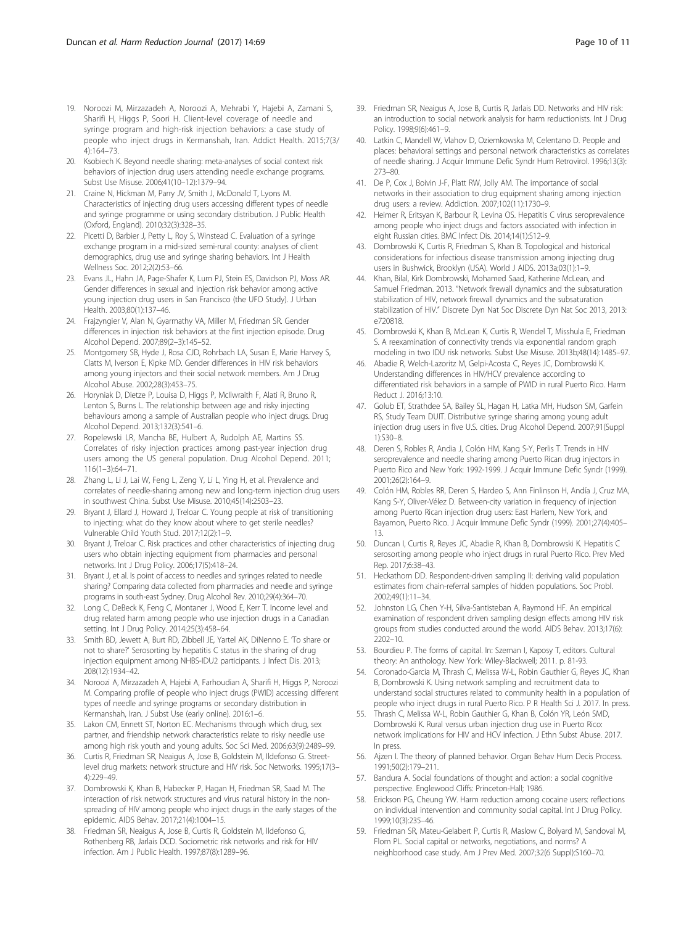- <span id="page-9-0"></span>19. Noroozi M, Mirzazadeh A, Noroozi A, Mehrabi Y, Hajebi A, Zamani S, Sharifi H, Higgs P, Soori H. Client-level coverage of needle and syringe program and high-risk injection behaviors: a case study of people who inject drugs in Kermanshah, Iran. Addict Health. 2015;7(3/ 4):164–73.
- 20. Ksobiech K. Beyond needle sharing: meta-analyses of social context risk behaviors of injection drug users attending needle exchange programs. Subst Use Misuse. 2006;41(10–12):1379–94.
- 21. Craine N, Hickman M, Parry JV, Smith J, McDonald T, Lyons M. Characteristics of injecting drug users accessing different types of needle and syringe programme or using secondary distribution. J Public Health (Oxford, England). 2010;32(3):328–35.
- 22. Picetti D, Barbier J, Petty L, Roy S, Winstead C. Evaluation of a syringe exchange program in a mid-sized semi-rural county: analyses of client demographics, drug use and syringe sharing behaviors. Int J Health Wellness Soc. 2012;2(2):53–66.
- 23. Evans JL, Hahn JA, Page-Shafer K, Lum PJ, Stein ES, Davidson PJ, Moss AR. Gender differences in sexual and injection risk behavior among active young injection drug users in San Francisco (the UFO Study). J Urban Health. 2003;80(1):137–46.
- 24. Frajzyngier V, Alan N, Gyarmathy VA, Miller M, Friedman SR. Gender differences in injection risk behaviors at the first injection episode. Drug Alcohol Depend. 2007;89(2–3):145–52.
- 25. Montgomery SB, Hyde J, Rosa CJD, Rohrbach LA, Susan E, Marie Harvey S, Clatts M, Iverson E, Kipke MD. Gender differences in HIV risk behaviors among young injectors and their social network members. Am J Drug Alcohol Abuse. 2002;28(3):453–75.
- 26. Horyniak D, Dietze P, Louisa D, Higgs P, McIlwraith F, Alati R, Bruno R, Lenton S, Burns L. The relationship between age and risky injecting behaviours among a sample of Australian people who inject drugs. Drug Alcohol Depend. 2013;132(3):541–6.
- 27. Ropelewski LR, Mancha BE, Hulbert A, Rudolph AE, Martins SS. Correlates of risky injection practices among past-year injection drug users among the US general population. Drug Alcohol Depend. 2011; 116(1–3):64–71.
- 28. Zhang L, Li J, Lai W, Feng L, Zeng Y, Li L, Ying H, et al. Prevalence and correlates of needle-sharing among new and long-term injection drug users in southwest China. Subst Use Misuse. 2010;45(14):2503–23.
- 29. Bryant J, Ellard J, Howard J, Treloar C. Young people at risk of transitioning to injecting: what do they know about where to get sterile needles? Vulnerable Child Youth Stud. 2017;12(2):1–9.
- 30. Bryant J, Treloar C. Risk practices and other characteristics of injecting drug users who obtain injecting equipment from pharmacies and personal networks. Int J Drug Policy. 2006;17(5):418–24.
- 31. Bryant J, et al. Is point of access to needles and syringes related to needle sharing? Comparing data collected from pharmacies and needle and syringe programs in south-east Sydney. Drug Alcohol Rev. 2010;29(4):364–70.
- 32. Long C, DeBeck K, Feng C, Montaner J, Wood E, Kerr T. Income level and drug related harm among people who use injection drugs in a Canadian setting. Int J Drug Policy. 2014;25(3):458–64.
- 33. Smith BD, Jewett A, Burt RD, Zibbell JE, Yartel AK, DiNenno E. 'To share or not to share?' Serosorting by hepatitis C status in the sharing of drug injection equipment among NHBS-IDU2 participants. J Infect Dis. 2013; 208(12):1934–42.
- 34. Noroozi A, Mirzazadeh A, Hajebi A, Farhoudian A, Sharifi H, Higgs P, Noroozi M. Comparing profile of people who inject drugs (PWID) accessing different types of needle and syringe programs or secondary distribution in Kermanshah, Iran. J Subst Use (early online). 2016:1–6.
- 35. Lakon CM, Ennett ST, Norton EC. Mechanisms through which drug, sex partner, and friendship network characteristics relate to risky needle use among high risk youth and young adults. Soc Sci Med. 2006;63(9):2489–99.
- 36. Curtis R, Friedman SR, Neaigus A, Jose B, Goldstein M, Ildefonso G. Streetlevel drug markets: network structure and HIV risk. Soc Networks. 1995;17(3– 4):229–49.
- 37. Dombrowski K, Khan B, Habecker P, Hagan H, Friedman SR, Saad M. The interaction of risk network structures and virus natural history in the nonspreading of HIV among people who inject drugs in the early stages of the epidemic. AIDS Behav. 2017;21(4):1004–15.
- 38. Friedman SR, Neaigus A, Jose B, Curtis R, Goldstein M, Ildefonso G, Rothenberg RB, Jarlais DCD. Sociometric risk networks and risk for HIV infection. Am J Public Health. 1997;87(8):1289–96.
- 39. Friedman SR, Neaigus A, Jose B, Curtis R, Jarlais DD. Networks and HIV risk: an introduction to social network analysis for harm reductionists. Int J Drug Policy. 1998;9(6):461–9.
- 40. Latkin C, Mandell W, Vlahov D, Oziemkowska M, Celentano D. People and places: behavioral settings and personal network characteristics as correlates of needle sharing. J Acquir Immune Defic Syndr Hum Retrovirol. 1996;13(3): 273–80.
- 41. De P, Cox J, Boivin J-F, Platt RW, Jolly AM. The importance of social networks in their association to drug equipment sharing among injection drug users: a review. Addiction. 2007;102(11):1730–9.
- 42. Heimer R, Eritsyan K, Barbour R, Levina OS. Hepatitis C virus seroprevalence among people who inject drugs and factors associated with infection in eight Russian cities. BMC Infect Dis. 2014;14(1):S12–9.
- 43. Dombrowski K, Curtis R, Friedman S, Khan B. Topological and historical considerations for infectious disease transmission among injecting drug users in Bushwick, Brooklyn (USA). World J AIDS. 2013a;03(1):1–9.
- 44. Khan, Bilal, Kirk Dombrowski, Mohamed Saad, Katherine McLean, and Samuel Friedman. 2013. "Network firewall dynamics and the subsaturation stabilization of HIV, network firewall dynamics and the subsaturation stabilization of HIV." Discrete Dyn Nat Soc Discrete Dyn Nat Soc 2013, 2013: e720818.
- 45. Dombrowski K, Khan B, McLean K, Curtis R, Wendel T, Misshula E, Friedman S. A reexamination of connectivity trends via exponential random graph modeling in two IDU risk networks. Subst Use Misuse. 2013b;48(14):1485–97.
- 46. Abadie R, Welch-Lazoritz M, Gelpi-Acosta C, Reyes JC, Dombrowski K. Understanding differences in HIV/HCV prevalence according to differentiated risk behaviors in a sample of PWID in rural Puerto Rico. Harm Reduct J. 2016;13:10.
- 47. Golub ET, Strathdee SA, Bailey SL, Hagan H, Latka MH, Hudson SM, Garfein RS, Study Team DUIT. Distributive syringe sharing among young adult injection drug users in five U.S. cities. Drug Alcohol Depend. 2007;91(Suppl 1):S30–8.
- 48. Deren S, Robles R, Andia J, Colón HM, Kang S-Y, Perlis T. Trends in HIV seroprevalence and needle sharing among Puerto Rican drug injectors in Puerto Rico and New York: 1992-1999. J Acquir Immune Defic Syndr (1999). 2001;26(2):164–9.
- 49. Colón HM, Robles RR, Deren S, Hardeo S, Ann Finlinson H, Andía J, Cruz MA, Kang S-Y, Oliver-Vélez D. Between-city variation in frequency of injection among Puerto Rican injection drug users: East Harlem, New York, and Bayamon, Puerto Rico. J Acquir Immune Defic Syndr (1999). 2001;27(4):405– 13.
- 50. Duncan I, Curtis R, Reyes JC, Abadie R, Khan B, Dombrowski K. Hepatitis C serosorting among people who inject drugs in rural Puerto Rico. Prev Med Rep. 2017;6:38–43.
- 51. Heckathorn DD. Respondent-driven sampling II: deriving valid population estimates from chain-referral samples of hidden populations. Soc Probl. 2002;49(1):11–34.
- 52. Johnston LG, Chen Y-H, Silva-Santisteban A, Raymond HF. An empirical examination of respondent driven sampling design effects among HIV risk groups from studies conducted around the world. AIDS Behav. 2013;17(6): 2202–10.
- 53. Bourdieu P. The forms of capital. In: Szeman I, Kaposy T, editors. Cultural theory: An anthology. New York: Wiley-Blackwell; 2011. p. 81-93.
- 54. Coronado-Garcia M, Thrash C, Melissa W-L, Robin Gauthier G, Reyes JC, Khan B, Dombrowski K. Using network sampling and recruitment data to understand social structures related to community health in a population of people who inject drugs in rural Puerto Rico. P R Health Sci J. 2017. In press.
- 55. Thrash C, Melissa W-L, Robin Gauthier G, Khan B, Colón YR, León SMD, Dombrowski K. Rural versus urban injection drug use in Puerto Rico: network implications for HIV and HCV infection. J Ethn Subst Abuse. 2017. In press.
- 56. Ajzen I. The theory of planned behavior. Organ Behav Hum Decis Process. 1991;50(2):179–211.
- 57. Bandura A. Social foundations of thought and action: a social cognitive perspective. Englewood Cliffs: Princeton-Hall; 1986.
- 58. Erickson PG, Cheung YW. Harm reduction among cocaine users: reflections on individual intervention and community social capital. Int J Drug Policy. 1999;10(3):235–46.
- 59. Friedman SR, Mateu-Gelabert P, Curtis R, Maslow C, Bolyard M, Sandoval M, Flom PL. Social capital or networks, negotiations, and norms? A neighborhood case study. Am J Prev Med. 2007;32(6 Suppl):S160–70.